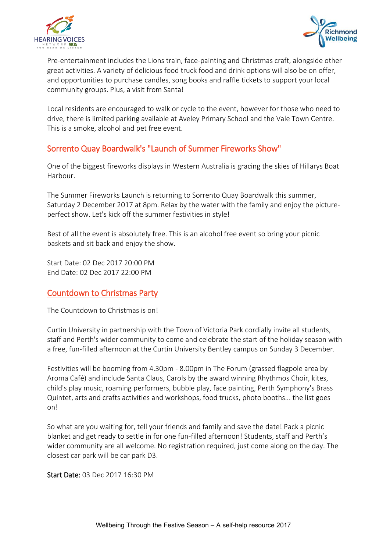



Pre-entertainment includes the Lions train, face-painting and Christmas craft, alongside other great activities. A variety of delicious food truck food and drink options will also be on offer, and opportunities to purchase candles, song books and raffle tickets to support your local community groups. Plus, a visit from Santa!

Local residents are encouraged to walk or cycle to the event, however for those who need to drive, there is limited parking available at Aveley Primary School and the Vale Town Centre. This is a smoke, alcohol and pet free event.

# Sorrento Quay Boardwalk's "Launch of Summer Fireworks Show"

One of the biggest fireworks displays in Western Australia is gracing the skies of Hillarys Boat Harbour.

The Summer Fireworks Launch is returning to Sorrento Quay Boardwalk this summer, Saturday 2 December 2017 at 8pm. Relax by the water with the family and enjoy the pictureperfect show. Let's kick off the summer festivities in style!

Best of all the event is absolutely free. This is an alcohol free event so bring your picnic baskets and sit back and enjoy the show.

Start Date: 02 Dec 2017 20:00 PM End Date: 02 Dec 2017 22:00 PM

# Countdown to Christmas Party

The Countdown to Christmas is on!

Curtin University in partnership with the [Town of Victoria Park](http://www.experienceperth.com/business/attraction/town-victoria-park) cordially invite all students, staff and Perth's wider community to come and celebrate the start of the holiday season with a free, fun-filled afternoon at the Curtin University Bentley campus on Sunday 3 December.

Festivities will be booming from 4.30pm - 8.00pm in The Forum (grassed flagpole area by Aroma Café) and include Santa Claus, Carols by the award winning Rhythmos Choir, kites, child's play music, roaming performers, bubble play, face painting, Perth Symphony's Brass Quintet, arts and crafts activities and workshops, food trucks, photo booths... the list goes on!

So what are you waiting for, tell your friends and family and save the date! Pack a picnic blanket and get ready to settle in for one fun-filled afternoon! Students, staff and Perth's wider community are all welcome. No registration required, just come along on the day. The closest car park will be car park D3.

Start Date: 03 Dec 2017 16:30 PM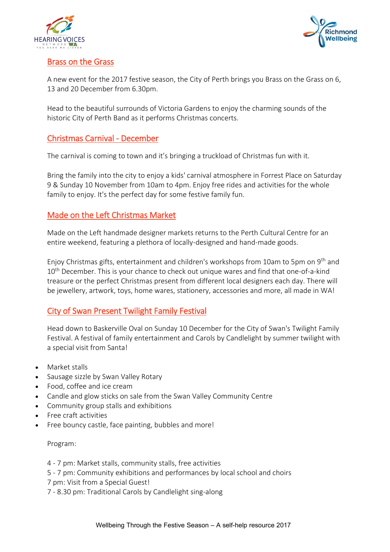



### Brass on the Grass

A new event for the 2017 festive season, the City of Perth brings you Brass on the Grass on 6, 13 and 20 December from 6.30pm.

Head to the beautiful surrounds of Victoria Gardens to enjoy the charming sounds of the historic City of Perth Band as it performs Christmas concerts.

## Christmas Carnival - December

The carnival is coming to town and it's bringing a truckload of Christmas fun with it.

Bring the family into the city to enjoy a kids' carnival atmosphere in Forrest Place on Saturday 9 & Sunday 10 November from 10am to 4pm. Enjoy free rides and activities for the whole family to enjoy. It's the perfect day for some festive family fun.

## Made on the Left Christmas Market

Made on the Left handmade designer markets returns to the Perth Cultural Centre for an entire weekend, featuring a plethora of locally-designed and hand-made goods.

Enjoy Christmas gifts, entertainment and children's workshops from 10am to 5pm on 9th and 10<sup>th</sup> December. This is your chance to check out unique wares and find that one-of-a-kind treasure or the perfect Christmas present from different local designers each day. There will be jewellery, artwork, toys, home wares, stationery, accessories and more, all made in WA!

# City of Swan Present Twilight Family Festival

Head down to Baskerville Oval on Sunday 10 December for the City of Swan's Twilight Family Festival. A festival of family entertainment and Carols by Candlelight by summer twilight with a special visit from Santa!

- Market stalls
- Sausage sizzle by Swan Valley Rotary
- Food, coffee and ice cream
- Candle and glow sticks on sale from the Swan Valley Community Centre
- Community group stalls and exhibitions
- Free craft activities
- Free bouncy castle, face painting, bubbles and more!

#### Program:

4 - 7 pm: Market stalls, community stalls, free activities

5 - 7 pm: Community exhibitions and performances by local school and choirs

- 7 pm: Visit from a Special Guest!
- 7 8.30 pm: Traditional Carols by Candlelight sing-along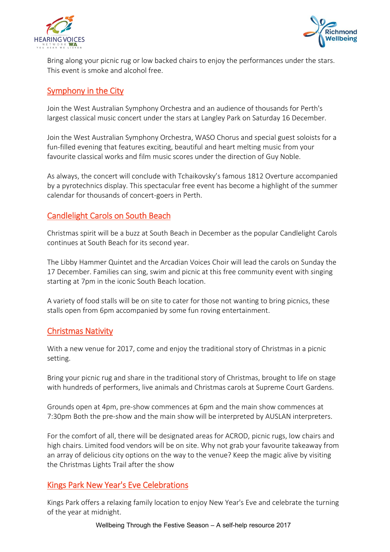



Bring along your picnic rug or low backed chairs to enjoy the performances under the stars. This event is smoke and alcohol free.

## Symphony in the City

Join the [West Australian Symphony Orchestra](http://www.experienceperth.com/Listing/West_Australian_Symphony_Orchestra) and an audience of thousands for Perth's largest classical music concert under the stars at Langley Park on Saturday 16 December.

Join the West Australian Symphony Orchestra, WASO Chorus and special guest soloists for a fun-filled evening that features exciting, beautiful and heart melting music from your favourite classical works and film music scores under the direction of Guy Noble.

As always, the concert will conclude with Tchaikovsky's famous 1812 Overture accompanied by a pyrotechnics display. This spectacular free event has become a highlight of the summer calendar for thousands of concert-goers in Perth.

# Candlelight Carols on South Beach

Christmas spirit will be a buzz at South Beach in December as the popular Candlelight Carols continues at South Beach for its second year.

The Libby Hammer Quintet and the Arcadian Voices Choir will lead the carols on Sunday the 17 December. Families can sing, swim and picnic at this free community event with singing starting at 7pm in the iconic South Beach location.

A variety of food stalls will be on site to cater for those not wanting to bring picnics, these stalls open from 6pm accompanied by some fun roving entertainment.

### Christmas Nativity

With a new venue for 2017, come and enjoy the traditional story of Christmas in a picnic setting.

Bring your picnic rug and share in the traditional story of Christmas, brought to life on stage with hundreds of performers, live animals and Christmas carols at Supreme Court Gardens.

Grounds open at 4pm, pre-show commences at 6pm and the main show commences at 7:30pm Both the pre-show and the main show will be interpreted by AUSLAN interpreters.

For the comfort of all, there will be designated areas for ACROD, picnic rugs, low chairs and high chairs. Limited food vendors will be on site. Why not grab your favourite takeaway from an array of delicious city options on the way to the venue? Keep the magic alive by visiting the Christmas Lights Trail after the show

### Kings Park New Year's Eve Celebrations

[Kings Park](http://www.experienceperth.com/Listing/Kings_Park_and_Botanic_Garden) offers a relaxing family location to enjoy New Year's Eve and celebrate the turning of the year at midnight.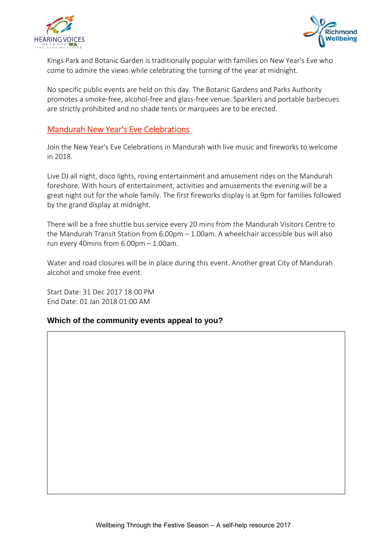



Kings Park and Botanic Garden is traditionally popular with families on New Year's Eve who come to admire the views while celebrating the turning of the year at midnight.

No specific public events are held on this day. The Botanic Gardens and Parks Authority promotes a smoke-free, alcohol-free and glass-free venue. Sparklers and portable barbecues are strictly prohibited and no shade tents or marquees are to be erected.

### Mandurah New Year's Eve Celebrations

Join the New Year's Eve Celebrations in Mandurah with live music and fireworks to welcome in 2018.

Live DJ all night, disco lights, roving entertainment and amusement rides on the Mandurah foreshore. With hours of entertainment, activities and amusements the evening will be a great night out for the whole family. The first fireworks display is at 9pm for families followed by the grand display at midnight.

There will be a free shuttle bus service every 20 mins from the Mandurah Visitors Centre to the Mandurah Transit Station from 6.00pm – 1.00am. A wheelchair accessible bus will also run every 40mins from 6.00pm – 1.00am.

Water and road closures will be in place during this event. Another great City of Mandurah alcohol and smoke free event.

Start Date: 31 Dec 2017 18:00 PM End Date: 01 Jan 2018 01:00 AM

#### **Which of the community events appeal to you?**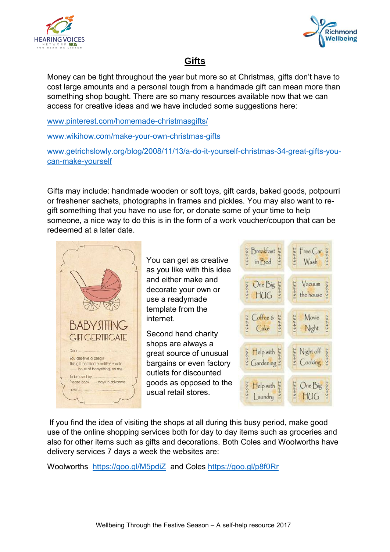



# **Gifts**

Money can be tight throughout the year but more so at Christmas, gifts don't have to cost large amounts and a personal tough from a handmade gift can mean more than something shop bought. There are so many resources available now that we can access for creative ideas and we have included some suggestions here:

[www.pinterest.com/homemade-christmasgifts/](http://www.pinterest.com/homemade-christmasgifts/)

[www.wikihow.com/make-your-own-christmas-gifts](http://www.wikihow.com/make-your-own-christmas-gifts)

[www.getrichslowly.org/blog/2008/11/13/a-do-it-yourself-christmas-34-great-gifts-you](http://www.getrichslowly.org/blog/2008/11/13/a-do-it-yourself-christmas-34-great-gifts-you-can-make-yourself)[can-make-yourself](http://www.getrichslowly.org/blog/2008/11/13/a-do-it-yourself-christmas-34-great-gifts-you-can-make-yourself)

Gifts may include: handmade wooden or soft toys, gift cards, baked goods, potpourri or freshener sachets, photographs in frames and pickles. You may also want to regift something that you have no use for, or donate some of your time to help someone, a nice way to do this is in the form of a work voucher/coupon that can be redeemed at a later date.



If you find the idea of visiting the shops at all during this busy period, make good use of the online shopping services both for day to day items such as groceries and also for other items such as gifts and decorations. Both Coles and Woolworths have delivery services 7 days a week the websites are:

Woolworths <https://goo.gl/M5pdiZ> and Coles<https://goo.gl/p8f0Rr>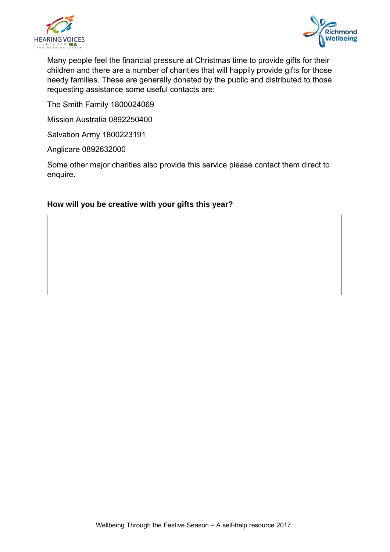



Many people feel the financial pressure at Christmas time to provide gifts for their children and there are a number of charities that will happily provide gifts for those needy families. These are generally donated by the public and distributed to those requesting assistance some useful contacts are:

The Smith Family 1800024069

Mission Australia 0892250400

Salvation Army 1800223191

Anglicare 0892632000

Some other major charities also provide this service please contact them direct to enquire.

#### **How will you be creative with your gifts this year?**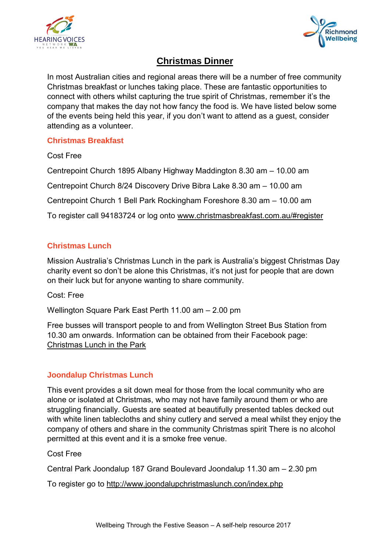



# **Christmas Dinner**

In most Australian cities and regional areas there will be a number of free community Christmas breakfast or lunches taking place. These are fantastic opportunities to connect with others whilst capturing the true spirit of Christmas, remember it's the company that makes the day not how fancy the food is. We have listed below some of the events being held this year, if you don't want to attend as a guest, consider attending as a volunteer.

### **Christmas Breakfast**

Cost Free

Centrepoint Church 1895 Albany Highway Maddington 8.30 am – 10.00 am Centrepoint Church 8/24 Discovery Drive Bibra Lake 8.30 am – 10.00 am

Centrepoint Church 1 Bell Park Rockingham Foreshore 8.30 am – 10.00 am

To register call 94183724 or log onto [www.christmasbreakfast.com.au/#register](http://www.christmasbreakfast.com.au/#register)

# **Christmas Lunch**

Mission Australia's Christmas Lunch in the park is Australia's biggest Christmas Day charity event so don't be alone this Christmas, it's not just for people that are down on their luck but for anyone wanting to share community.

Cost: Free

Wellington Square Park East Perth 11.00 am – 2.00 pm

Free busses will transport people to and from Wellington Street Bus Station from 10.30 am onwards. Information can be obtained from their Facebook page: Christmas Lunch in the Park

# **Joondalup Christmas Lunch**

This event provides a sit down meal for those from the local community who are alone or isolated at Christmas, who may not have family around them or who are struggling financially. Guests are seated at beautifully presented tables decked out with white linen tablecloths and shiny cutlery and served a meal whilst they enjoy the company of others and share in the community Christmas spirit There is no alcohol permitted at this event and it is a smoke free venue.

Cost Free

Central Park Joondalup 187 Grand Boulevard Joondalup 11.30 am – 2.30 pm

To register go to<http://www.joondalupchristmaslunch.con/index.php>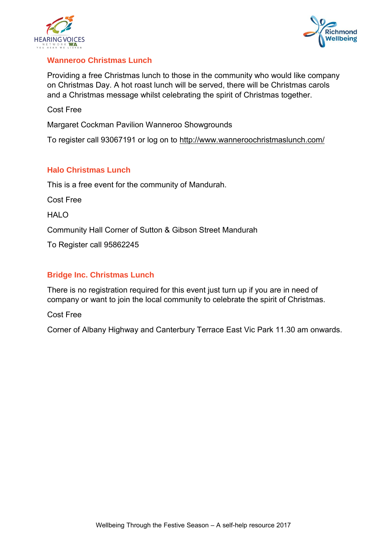



#### **Wanneroo Christmas Lunch**

Providing a free Christmas lunch to those in the community who would like company on Christmas Day. A hot roast lunch will be served, there will be Christmas carols and a Christmas message whilst celebrating the spirit of Christmas together.

Cost Free

Margaret Cockman Pavilion Wanneroo Showgrounds

To register call 93067191 or log on to<http://www.wanneroochristmaslunch.com/>

#### **Halo Christmas Lunch**

This is a free event for the community of Mandurah.

Cost Free

HALO

Community Hall Corner of Sutton & Gibson Street Mandurah

To Register call 95862245

#### **Bridge Inc. Christmas Lunch**

There is no registration required for this event just turn up if you are in need of company or want to join the local community to celebrate the spirit of Christmas.

Cost Free

Corner of Albany Highway and Canterbury Terrace East Vic Park 11.30 am onwards.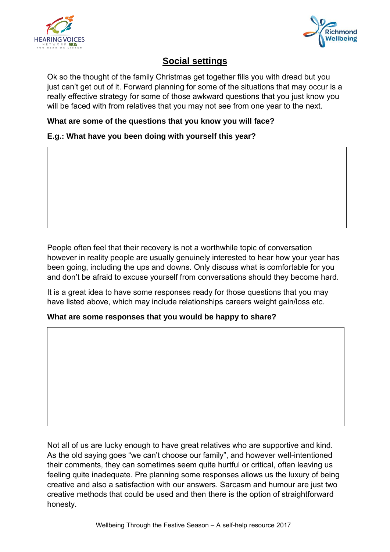



# **Social settings**

Ok so the thought of the family Christmas get together fills you with dread but you just can't get out of it. Forward planning for some of the situations that may occur is a really effective strategy for some of those awkward questions that you just know you will be faced with from relatives that you may not see from one year to the next.

#### **What are some of the questions that you know you will face?**

**E.g.: What have you been doing with yourself this year?**

People often feel that their recovery is not a worthwhile topic of conversation however in reality people are usually genuinely interested to hear how your year has been going, including the ups and downs. Only discuss what is comfortable for you and don't be afraid to excuse yourself from conversations should they become hard.

It is a great idea to have some responses ready for those questions that you may have listed above, which may include relationships careers weight gain/loss etc.

#### **What are some responses that you would be happy to share?**

Not all of us are lucky enough to have great relatives who are supportive and kind. As the old saying goes "we can't choose our family", and however well-intentioned their comments, they can sometimes seem quite hurtful or critical, often leaving us feeling quite inadequate. Pre planning some responses allows us the luxury of being creative and also a satisfaction with our answers. Sarcasm and humour are just two creative methods that could be used and then there is the option of straightforward honesty.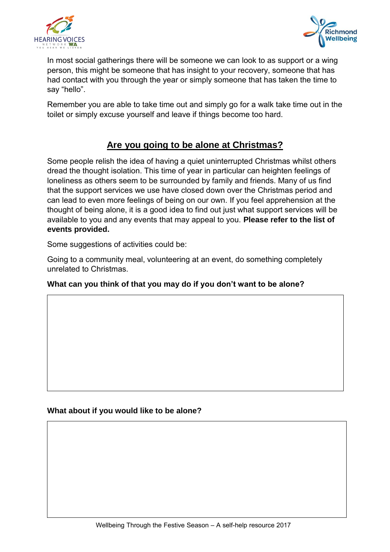



In most social gatherings there will be someone we can look to as support or a wing person, this might be someone that has insight to your recovery, someone that has had contact with you through the year or simply someone that has taken the time to say "hello".

Remember you are able to take time out and simply go for a walk take time out in the toilet or simply excuse yourself and leave if things become too hard.

# **Are you going to be alone at Christmas?**

Some people relish the idea of having a quiet uninterrupted Christmas whilst others dread the thought isolation. This time of year in particular can heighten feelings of loneliness as others seem to be surrounded by family and friends. Many of us find that the support services we use have closed down over the Christmas period and can lead to even more feelings of being on our own. If you feel apprehension at the thought of being alone, it is a good idea to find out just what support services will be available to you and any events that may appeal to you. **Please refer to the list of events provided.**

Some suggestions of activities could be:

Going to a community meal, volunteering at an event, do something completely unrelated to Christmas.

# **What can you think of that you may do if you don't want to be alone?**

**What about if you would like to be alone?**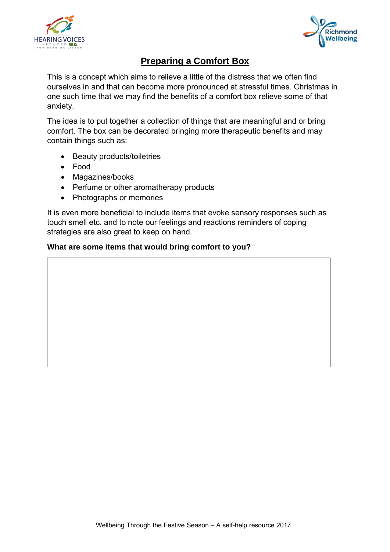



# **Preparing a Comfort Box**

This is a concept which aims to relieve a little of the distress that we often find ourselves in and that can become more pronounced at stressful times. Christmas in one such time that we may find the benefits of a comfort box relieve some of that anxiety.

The idea is to put together a collection of things that are meaningful and or bring comfort. The box can be decorated bringing more therapeutic benefits and may contain things such as:

- Beauty products/toiletries
- Food
- Magazines/books
- Perfume or other aromatherapy products
- Photographs or memories

It is even more beneficial to include items that evoke sensory responses such as touch smell etc. and to note our feelings and reactions reminders of coping strategies are also great to keep on hand.

#### **What are some items that would bring comfort to you?** '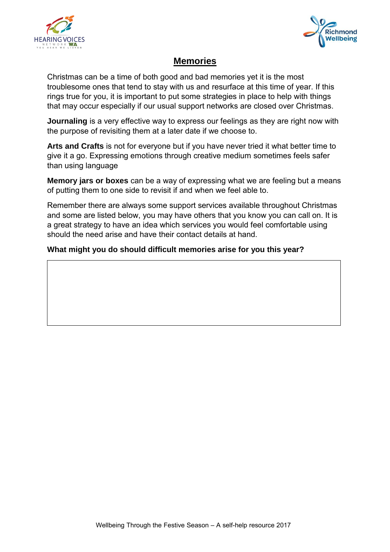



# **Memories**

Christmas can be a time of both good and bad memories yet it is the most troublesome ones that tend to stay with us and resurface at this time of year. If this rings true for you, it is important to put some strategies in place to help with things that may occur especially if our usual support networks are closed over Christmas.

**Journaling** is a very effective way to express our feelings as they are right now with the purpose of revisiting them at a later date if we choose to.

**Arts and Crafts** is not for everyone but if you have never tried it what better time to give it a go. Expressing emotions through creative medium sometimes feels safer than using language

**Memory jars or boxes** can be a way of expressing what we are feeling but a means of putting them to one side to revisit if and when we feel able to.

Remember there are always some support services available throughout Christmas and some are listed below, you may have others that you know you can call on. It is a great strategy to have an idea which services you would feel comfortable using should the need arise and have their contact details at hand.

## **What might you do should difficult memories arise for you this year?**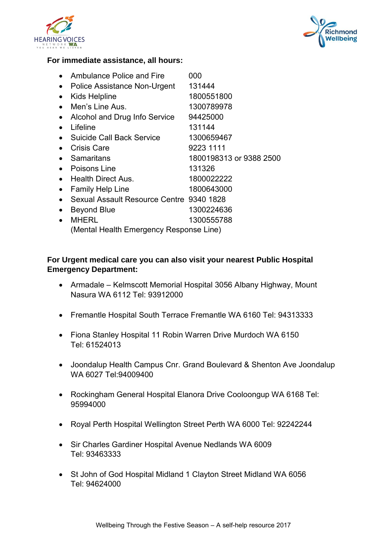



#### **For immediate assistance, all hours:**

|           | Ambulance Police and Fire                | 000                     |
|-----------|------------------------------------------|-------------------------|
|           | Police Assistance Non-Urgent             | 131444                  |
|           | <b>Kids Helpline</b>                     | 1800551800              |
| $\bullet$ | Men's Line Aus.                          | 1300789978              |
|           | Alcohol and Drug Info Service            | 94425000                |
|           | Lifeline                                 | 131144                  |
| $\bullet$ | <b>Suicide Call Back Service</b>         | 1300659467              |
|           | <b>Crisis Care</b>                       | 9223 1111               |
|           | Samaritans                               | 1800198313 or 9388 2500 |
| $\bullet$ | Poisons Line                             | 131326                  |
| $\bullet$ | Health Direct Aus.                       | 1800022222              |
|           | <b>Family Help Line</b>                  | 1800643000              |
|           | Sexual Assault Resource Centre 9340 1828 |                         |
|           | <b>Beyond Blue</b>                       | 1300224636              |
|           | <b>MHERL</b>                             | 1300555788              |
|           | (Mental Health Emergency Response Line)  |                         |

#### **For Urgent medical care you can also visit your nearest Public Hospital Emergency Department:**

- Armadale Kelmscott Memorial Hospital 3056 Albany Highway, Mount Nasura WA 6112 Tel: 93912000
- Fremantle Hospital South Terrace Fremantle WA 6160 Tel: 94313333
- Fiona Stanley Hospital 11 Robin Warren Drive Murdoch WA 6150 Tel: 61524013
- Joondalup Health Campus Cnr. Grand Boulevard & Shenton Ave Joondalup WA 6027 [Tel:94009400](tel:94009400)
- Rockingham General Hospital Elanora Drive Cooloongup WA 6168 Tel: 95994000
- Royal Perth Hospital Wellington Street Perth WA 6000 Tel: 92242244
- Sir Charles Gardiner Hospital Avenue Nedlands WA 6009 Tel: 93463333
- St John of God Hospital Midland 1 Clayton Street Midland WA 6056 Tel: 94624000